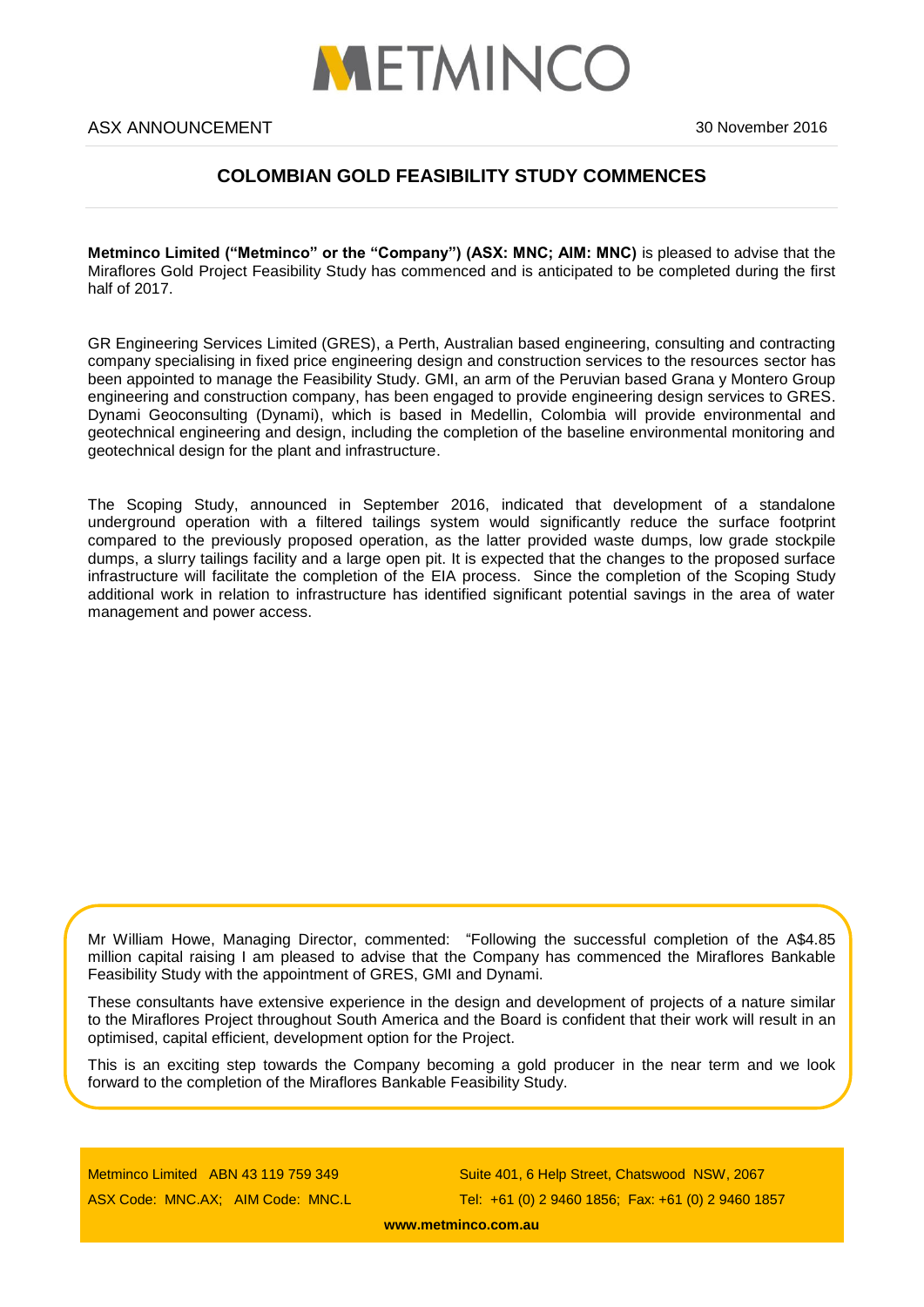

# **COLOMBIAN GOLD FEASIBILITY STUDY COMMENCES**

**Metminco Limited ("Metminco" or the "Company") (ASX: MNC; AIM: MNC)** is pleased to advise that the Miraflores Gold Project Feasibility Study has commenced and is anticipated to be completed during the first half of 2017.

GR Engineering Services Limited (GRES), a Perth, Australian based engineering, consulting and contracting company specialising in fixed price engineering design and construction services to the resources sector has been appointed to manage the Feasibility Study. GMI, an arm of the Peruvian based Grana y Montero Group engineering and construction company, has been engaged to provide engineering design services to GRES. Dynami Geoconsulting (Dynami), which is based in Medellin, Colombia will provide environmental and geotechnical engineering and design, including the completion of the baseline environmental monitoring and geotechnical design for the plant and infrastructure.

The Scoping Study, announced in September 2016, indicated that development of a standalone underground operation with a filtered tailings system would significantly reduce the surface footprint compared to the previously proposed operation, as the latter provided waste dumps, low grade stockpile dumps, a slurry tailings facility and a large open pit. It is expected that the changes to the proposed surface infrastructure will facilitate the completion of the EIA process. Since the completion of the Scoping Study additional work in relation to infrastructure has identified significant potential savings in the area of water management and power access.

Mr William Howe, Managing Director, commented: "Following the successful completion of the A\$4.85 million capital raising I am pleased to advise that the Company has commenced the Miraflores Bankable Feasibility Study with the appointment of GRES, GMI and Dynami.

These consultants have extensive experience in the design and development of projects of a nature similar to the Miraflores Project throughout South America and the Board is confident that their work will result in an optimised, capital efficient, development option for the Project.

This is an exciting step towards the Company becoming a gold producer in the near term and we look forward to the completion of the Miraflores Bankable Feasibility Study.

Metminco Limited ABN 43 119 759 349 ASX Code: MNC.AX; AIM Code: MNC.L

Suite 401, 6 Help Street, Chatswood NSW, 2067 Tel: +61 (0) 2 9460 1856; Fax: +61 (0) 2 9460 1857

**[www.metminco.com.au](http://www.metminco.com.au/)**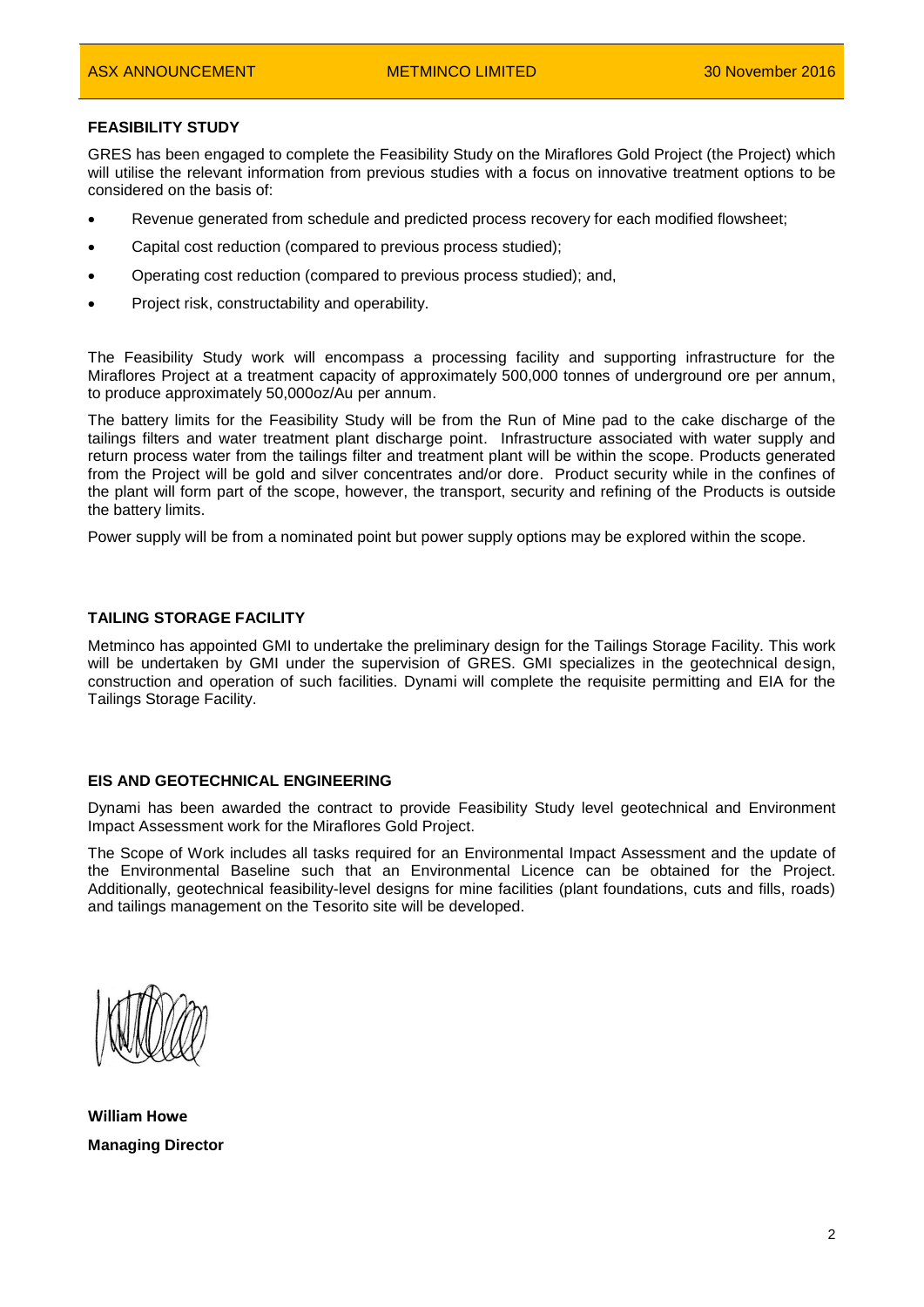## **FEASIBILITY STUDY**

GRES has been engaged to complete the Feasibility Study on the Miraflores Gold Project (the Project) which will utilise the relevant information from previous studies with a focus on innovative treatment options to be considered on the basis of:

- Revenue generated from schedule and predicted process recovery for each modified flowsheet;
- Capital cost reduction (compared to previous process studied);
- Operating cost reduction (compared to previous process studied); and,
- Project risk, constructability and operability.

The Feasibility Study work will encompass a processing facility and supporting infrastructure for the Miraflores Project at a treatment capacity of approximately 500,000 tonnes of underground ore per annum, to produce approximately 50,000oz/Au per annum.

The battery limits for the Feasibility Study will be from the Run of Mine pad to the cake discharge of the tailings filters and water treatment plant discharge point. Infrastructure associated with water supply and return process water from the tailings filter and treatment plant will be within the scope. Products generated from the Project will be gold and silver concentrates and/or dore. Product security while in the confines of the plant will form part of the scope, however, the transport, security and refining of the Products is outside the battery limits.

Power supply will be from a nominated point but power supply options may be explored within the scope.

#### **TAILING STORAGE FACILITY**

Metminco has appointed GMI to undertake the preliminary design for the Tailings Storage Facility. This work will be undertaken by GMI under the supervision of GRES. GMI specializes in the geotechnical design. construction and operation of such facilities. Dynami will complete the requisite permitting and EIA for the Tailings Storage Facility.

#### **EIS AND GEOTECHNICAL ENGINEERING**

Dynami has been awarded the contract to provide Feasibility Study level geotechnical and Environment Impact Assessment work for the Miraflores Gold Project.

The Scope of Work includes all tasks required for an Environmental Impact Assessment and the update of the Environmental Baseline such that an Environmental Licence can be obtained for the Project. Additionally, geotechnical feasibility-level designs for mine facilities (plant foundations, cuts and fills, roads) and tailings management on the Tesorito site will be developed.

**William Howe Managing Director**